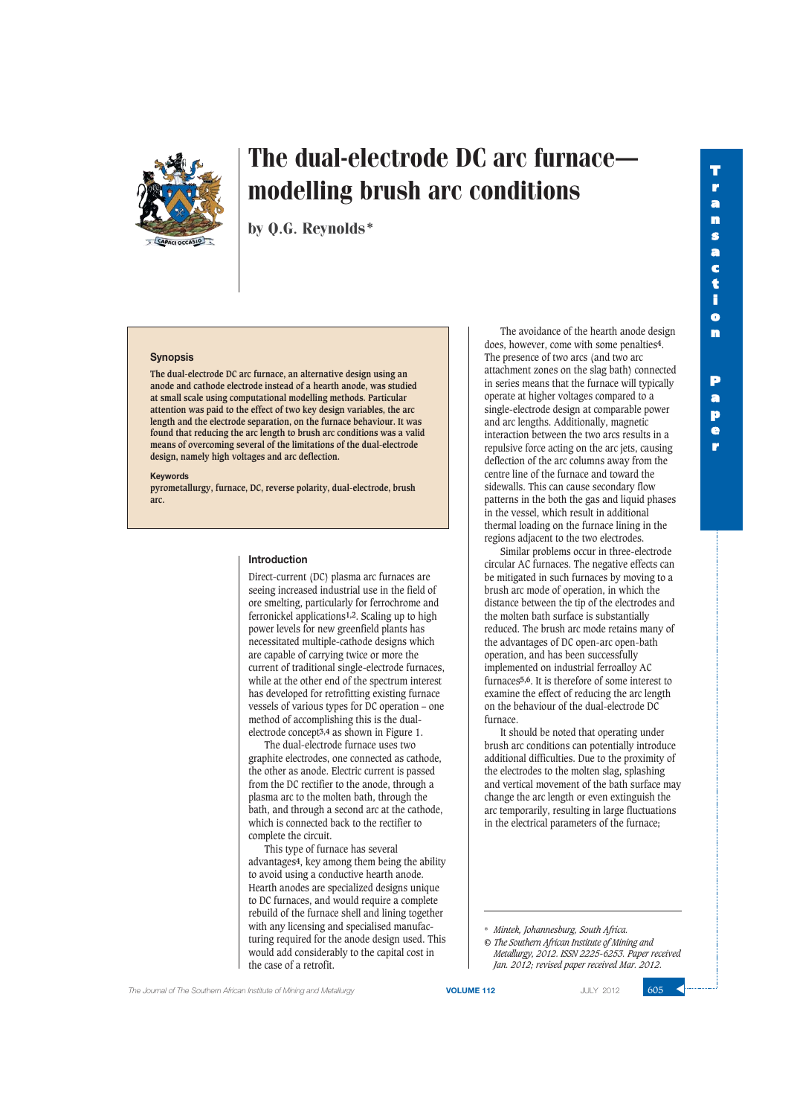**r**



# The dual-electrode DC arc furnace modelling brush arc conditions

by Q.G. Reynolds\*

### **Synopsis**

**The dual-electrode DC arc furnace, an alternative design using an anode and cathode electrode instead of a hearth anode, was studied at small scale using computational modelling methods. Particular attention was paid to the effect of two key design variables, the arc length and the electrode separation, on the furnace behaviour. It was found that reducing the arc length to brush arc conditions was a valid means of overcoming several of the limitations of the dual-electrode design, namely high voltages and arc deflection.**

#### **Keywords**

**pyrometallurgy, furnace, DC, reverse polarity, dual-electrode, brush arc.**

### **Introduction**

Direct-current (DC) plasma arc furnaces are seeing increased industrial use in the field of ore smelting, particularly for ferrochrome and ferronickel applications**1,2**. Scaling up to high power levels for new greenfield plants has necessitated multiple-cathode designs which are capable of carrying twice or more the current of traditional single-electrode furnaces, while at the other end of the spectrum interest has developed for retrofitting existing furnace vessels of various types for DC operation – one method of accomplishing this is the dualelectrode concept**3,4** as shown in Figure 1.

The dual-electrode furnace uses two graphite electrodes, one connected as cathode, the other as anode. Electric current is passed from the DC rectifier to the anode, through a plasma arc to the molten bath, through the bath, and through a second arc at the cathode, which is connected back to the rectifier to complete the circuit.

This type of furnace has several advantages**4**, key among them being the ability to avoid using a conductive hearth anode. Hearth anodes are specialized designs unique to DC furnaces, and would require a complete rebuild of the furnace shell and lining together with any licensing and specialised manufacturing required for the anode design used. This would add considerably to the capital cost in the case of a retrofit.

The avoidance of the hearth anode design does, however, come with some penalties**4**. The presence of two arcs (and two arc attachment zones on the slag bath) connected in series means that the furnace will typically operate at higher voltages compared to a single-electrode design at comparable power and arc lengths. Additionally, magnetic interaction between the two arcs results in a repulsive force acting on the arc jets, causing deflection of the arc columns away from the centre line of the furnace and toward the sidewalls. This can cause secondary flow patterns in the both the gas and liquid phases in the vessel, which result in additional thermal loading on the furnace lining in the regions adjacent to the two electrodes.

Similar problems occur in three-electrode circular AC furnaces. The negative effects can be mitigated in such furnaces by moving to a brush arc mode of operation, in which the distance between the tip of the electrodes and the molten bath surface is substantially reduced. The brush arc mode retains many of the advantages of DC open-arc open-bath operation, and has been successfully implemented on industrial ferroalloy AC furnaces**5,6**. It is therefore of some interest to examine the effect of reducing the arc length on the behaviour of the dual-electrode DC furnace.

It should be noted that operating under brush arc conditions can potentially introduce additional difficulties. Due to the proximity of the electrodes to the molten slag, splashing and vertical movement of the bath surface may change the arc length or even extinguish the arc temporarily, resulting in large fluctuations in the electrical parameters of the furnace;

\* *Mintek, Johannesburg, South Africa.*

*© The Southern African Institute of Mining and Metallurgy, 2012. ISSN 2225-6253. Paper received Jan. 2012; revised paper received Mar. 2012.*

The Journal of The Southern African Institute of Mining and Metallurgy **VOLUME 112 VOLUME 112** JULY 2012 **605** 

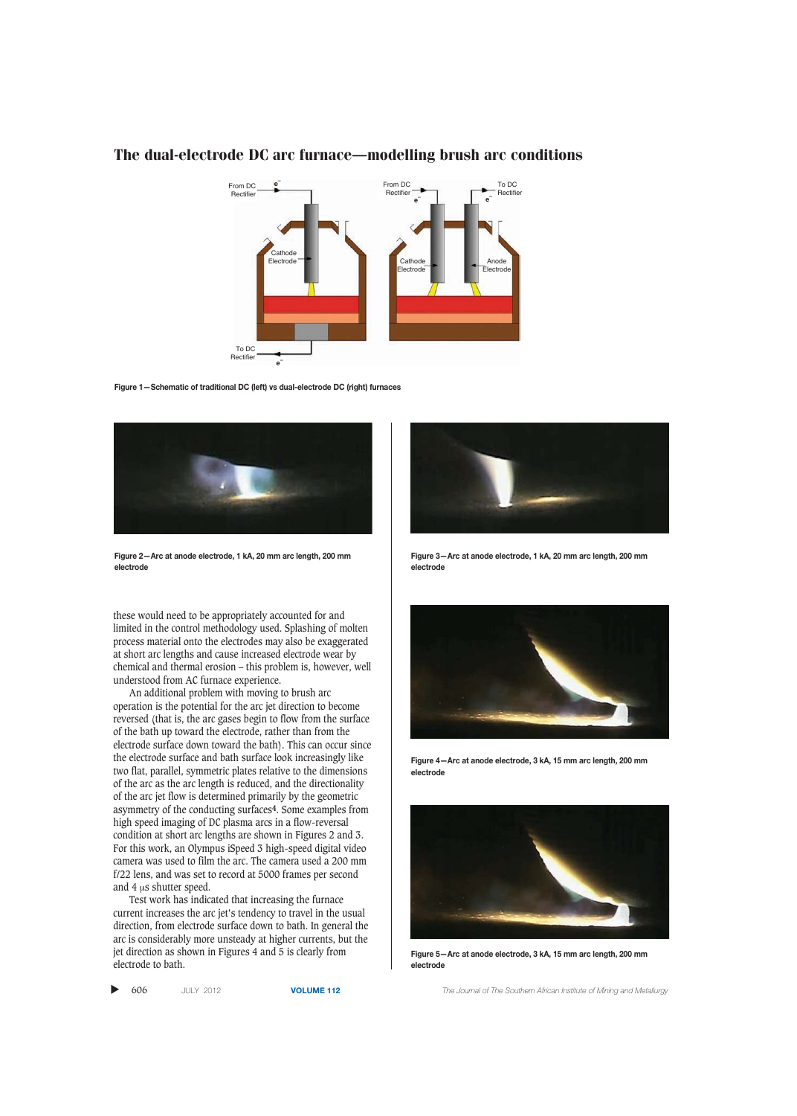

**Figure 1—Schematic of traditional DC (left) vs dual-electrode DC (right) furnaces**



**Figure 2—Arc at anode electrode, 1 kA, 20 mm arc length, 200 mm electrode**

these would need to be appropriately accounted for and limited in the control methodology used. Splashing of molten process material onto the electrodes may also be exaggerated at short arc lengths and cause increased electrode wear by chemical and thermal erosion – this problem is, however, well understood from AC furnace experience.

An additional problem with moving to brush arc operation is the potential for the arc jet direction to become reversed (that is, the arc gases begin to flow from the surface of the bath up toward the electrode, rather than from the electrode surface down toward the bath). This can occur since the electrode surface and bath surface look increasingly like two flat, parallel, symmetric plates relative to the dimensions of the arc as the arc length is reduced, and the directionality of the arc jet flow is determined primarily by the geometric asymmetry of the conducting surfaces**4**. Some examples from high speed imaging of DC plasma arcs in a flow-reversal condition at short arc lengths are shown in Figures 2 and 3. For this work, an Olympus iSpeed 3 high-speed digital video camera was used to film the arc. The camera used a 200 mm f/22 lens, and was set to record at 5000 frames per second and 4 μs shutter speed.

Test work has indicated that increasing the furnace current increases the arc jet's tendency to travel in the usual direction, from electrode surface down to bath. In general the arc is considerably more unsteady at higher currents, but the jet direction as shown in Figures 4 and 5 is clearly from electrode to bath.





**Figure 3—Arc at anode electrode, 1 kA, 20 mm arc length, 200 mm electrode**



**Figure 4—Arc at anode electrode, 3 kA, 15 mm arc length, 200 mm electrode**



**Figure 5—Arc at anode electrode, 3 kA, 15 mm arc length, 200 mm electrode**

606 JULY 2012 **VOLUME 112** *The Journal of The Southern African Institute of Mining and Metallurgy*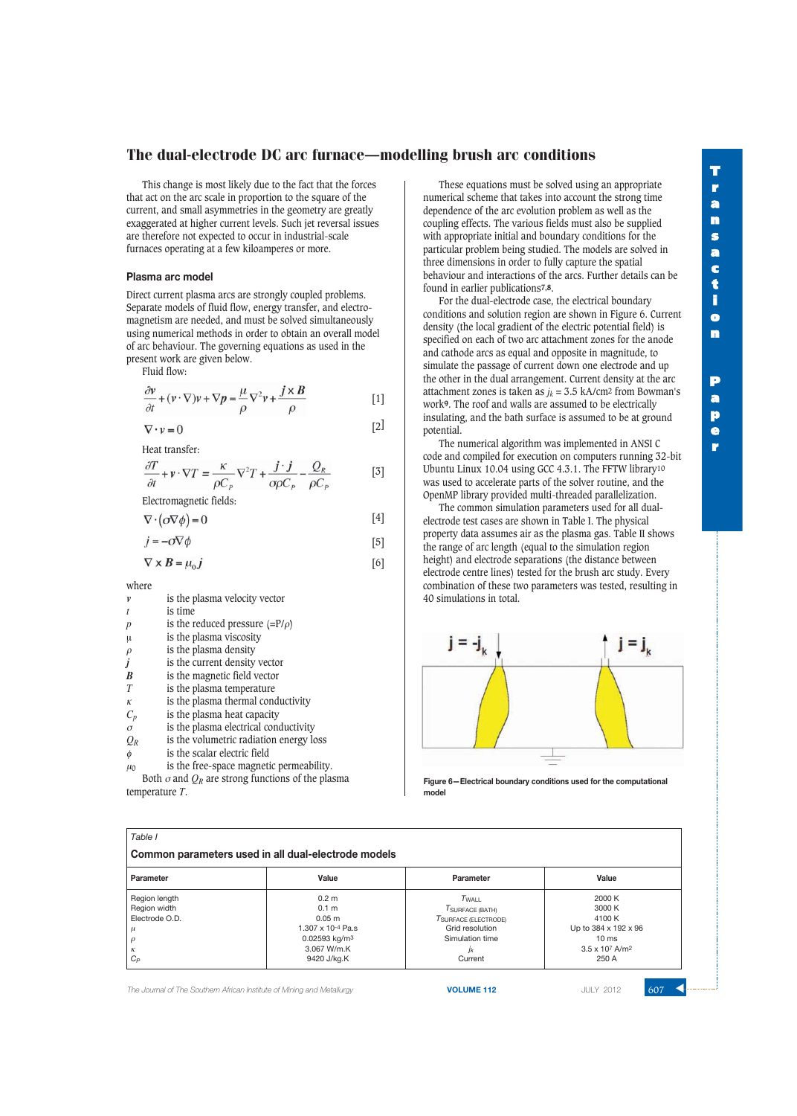This change is most likely due to the fact that the forces that act on the arc scale in proportion to the square of the current, and small asymmetries in the geometry are greatly exaggerated at higher current levels. Such jet reversal issues are therefore not expected to occur in industrial-scale furnaces operating at a few kiloamperes or more.

### **Plasma arc model**

Direct current plasma arcs are strongly coupled problems. Separate models of fluid flow, energy transfer, and electromagnetism are needed, and must be solved simultaneously using numerical methods in order to obtain an overall model of arc behaviour. The governing equations as used in the present work are given below.

Fluid flow:

$$
\frac{\partial v}{\partial t} + (v \cdot \nabla)v + \nabla p = \frac{\mu}{\rho} \nabla^2 v + \frac{j \times B}{\rho}
$$
 [1]

$$
\nabla \cdot \mathbf{v} = 0
$$

Heat transfer:

$$
\frac{\partial T}{\partial t} + v \cdot \nabla T = \frac{\kappa}{\rho C_p} \nabla^2 T + \frac{j \cdot j}{\sigma \rho C_p} - \frac{Q_R}{\rho C_p} \tag{3}
$$

Electromagnetic fields:

$$
\nabla \cdot (\sigma \nabla \phi) = 0 \tag{4}
$$

$$
j = -\sigma \nabla \phi \tag{5}
$$

$$
\begin{bmatrix} 6 \end{bmatrix}
$$

 $\lceil 2 \rceil$ 

where

|  |  |  | is the plasma velocity vector |  |
|--|--|--|-------------------------------|--|
|--|--|--|-------------------------------|--|

*t* is time

 $\nabla \times B = \mu_0 \mathbf{j}$ 

- *p* is the reduced pressure  $(=P/\rho)$
- μ is the plasma viscosity
- $\rho$  is the plasma density
- *j* is the current density vector  $\overline{B}$  is the magnetic field vector
- is the magnetic field vector
- *T* is the plasma temperature
- $\kappa$  is the plasma thermal conductivity
- *Cp* is the plasma heat capacity
- $\sigma$  is the plasma electrical conductivity
- *QR* is the volumetric radiation energy loss
- $\phi$  is the scalar electric field
- $\mu_0$  is the free-space magnetic permeability.

Both  $\sigma$  and  $Q_R$  are strong functions of the plasma temperature *T*.

These equations must be solved using an appropriate numerical scheme that takes into account the strong time dependence of the arc evolution problem as well as the coupling effects. The various fields must also be supplied with appropriate initial and boundary conditions for the particular problem being studied. The models are solved in three dimensions in order to fully capture the spatial behaviour and interactions of the arcs. Further details can be found in earlier publications**7,8**.

For the dual-electrode case, the electrical boundary conditions and solution region are shown in Figure 6. Current density (the local gradient of the electric potential field) is specified on each of two arc attachment zones for the anode and cathode arcs as equal and opposite in magnitude, to simulate the passage of current down one electrode and up the other in the dual arrangement. Current density at the arc attachment zones is taken as  $j_k = 3.5$  kA/cm<sup>2</sup> from Bowman's work**9**. The roof and walls are assumed to be electrically insulating, and the bath surface is assumed to be at ground potential.

The numerical algorithm was implemented in ANSI C code and compiled for execution on computers running 32-bit Ubuntu Linux 10.04 using GCC 4.3.1. The FFTW library10 was used to accelerate parts of the solver routine, and the OpenMP library provided multi-threaded parallelization.

The common simulation parameters used for all dualelectrode test cases are shown in Table I. The physical property data assumes air as the plasma gas. Table II shows the range of arc length (equal to the simulation region height) and electrode separations (the distance between electrode centre lines) tested for the brush arc study. Every combination of these two parameters was tested, resulting in 40 simulations in total.



**Figure 6—Electrical boundary conditions used for the computational model**

| Common parameters used in all dual-electrode models |                             |                                                |                                    |  |  |
|-----------------------------------------------------|-----------------------------|------------------------------------------------|------------------------------------|--|--|
| Parameter                                           | Value                       | Parameter                                      | Value                              |  |  |
| Region length                                       | 0.2 <sub>m</sub>            | $T_{\sf WAIL}$                                 | 2000 K                             |  |  |
| Region width                                        | 0.1 <sub>m</sub>            | $T_{\footnotesize\textnormal{SURFACE (BATH)}}$ | 3000 K                             |  |  |
| Electrode O.D.                                      | $0.05 \; \mathrm{m}$        | TSURFACE (ELECTRODE)                           | 4100 K                             |  |  |
|                                                     | $1.307 \times 10^{-4}$ Pa.s | Grid resolution                                | Up to 384 x 192 x 96               |  |  |
|                                                     | 0.02593 kg/m <sup>3</sup>   | Simulation time                                | $10 \text{ ms}$                    |  |  |
|                                                     | 3.067 W/m.K                 | Jk                                             | $3.5 \times 10^7$ A/m <sup>2</sup> |  |  |
| $C_P$                                               | 9420 J/kg.K                 | Current                                        | 250 A                              |  |  |

**The Journal of The Southern African Institute of Mining and Metallurgy <b>VOLUME 112 VOLUME 112** JULY 2012 **607**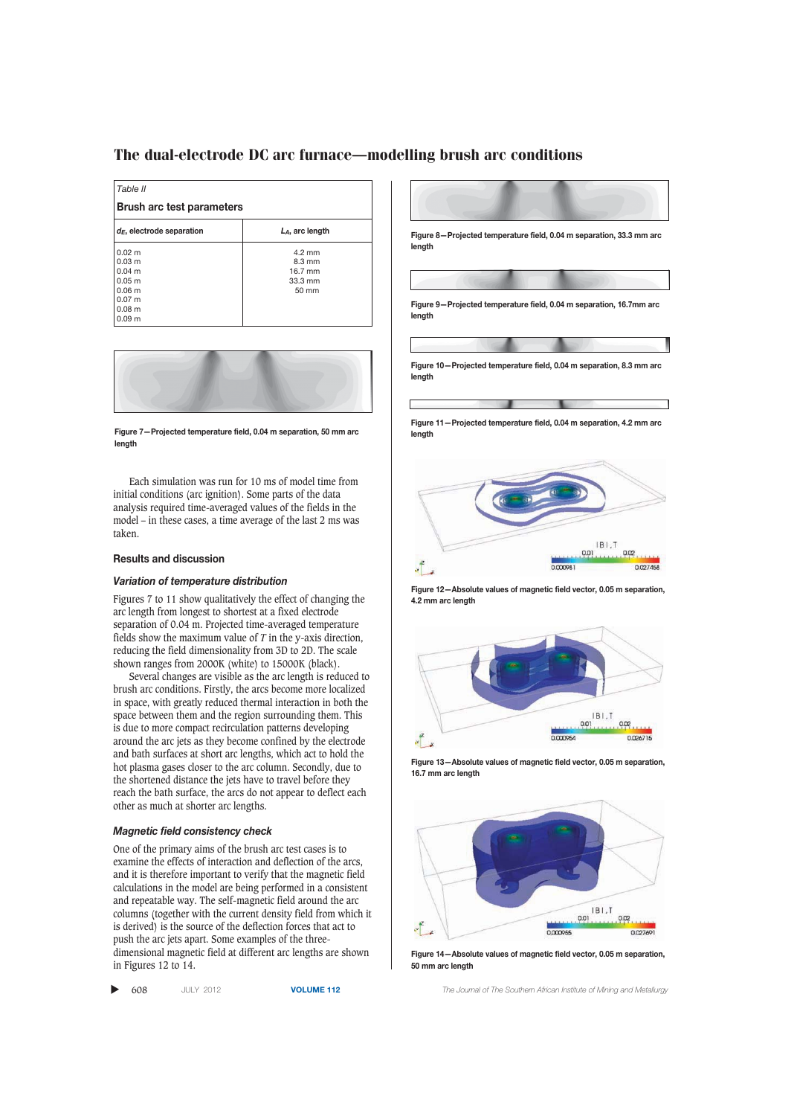| Table II                         |                    |  |  |  |
|----------------------------------|--------------------|--|--|--|
| <b>Brush arc test parameters</b> |                    |  |  |  |
| $d_E$ , electrode separation     | $L_A$ , arc length |  |  |  |
| $0.02 \; m$                      | $4.2 \text{ mm}$   |  |  |  |
| $0.03 \; \text{m}$               | $8.3 \text{ mm}$   |  |  |  |
| $0.04 \text{ m}$                 | 16.7 mm            |  |  |  |
| 0.05 m                           | $33.3 \text{ mm}$  |  |  |  |
| 0.06 <sub>m</sub>                | $50 \text{ mm}$    |  |  |  |
| 0.07 <sub>m</sub>                |                    |  |  |  |
| 0.08 <sub>m</sub>                |                    |  |  |  |
| 0.09 <sub>m</sub>                |                    |  |  |  |



**Figure 7—Projected temperature field, 0.04 m separation, 50 mm arc length**

Each simulation was run for 10 ms of model time from initial conditions (arc ignition). Some parts of the data analysis required time-averaged values of the fields in the model – in these cases, a time average of the last 2 ms was taken.

### **Results and discussion**

### *Variation of temperature distribution*

Figures 7 to 11 show qualitatively the effect of changing the arc length from longest to shortest at a fixed electrode separation of 0.04 m. Projected time-averaged temperature fields show the maximum value of *T* in the y-axis direction, reducing the field dimensionality from 3D to 2D. The scale shown ranges from 2000K (white) to 15000K (black).

Several changes are visible as the arc length is reduced to brush arc conditions. Firstly, the arcs become more localized in space, with greatly reduced thermal interaction in both the space between them and the region surrounding them. This is due to more compact recirculation patterns developing around the arc jets as they become confined by the electrode and bath surfaces at short arc lengths, which act to hold the hot plasma gases closer to the arc column. Secondly, due to the shortened distance the jets have to travel before they reach the bath surface, the arcs do not appear to deflect each other as much at shorter arc lengths.

### *Magnetic field consistency check*

One of the primary aims of the brush arc test cases is to examine the effects of interaction and deflection of the arcs, and it is therefore important to verify that the magnetic field calculations in the model are being performed in a consistent and repeatable way. The self-magnetic field around the arc columns (together with the current density field from which it is derived) is the source of the deflection forces that act to push the arc jets apart. Some examples of the threedimensional magnetic field at different arc lengths are shown in Figures 12 to 14.

▲



**Figure 11—Projected temperature field, 0.04 m separation, 4.2 mm arc length**



**Figure 12—Absolute values of magnetic field vector, 0.05 m separation, 4.2 mm arc length**



**Figure 13—Absolute values of magnetic field vector, 0.05 m separation, 16.7 mm arc length**



**Figure 14—Absolute values of magnetic field vector, 0.05 m separation, 50 mm arc length**

608 JULY 2012 **VOLUME 112** *The Journal of The Southern African Institute of Mining and Metallurgy*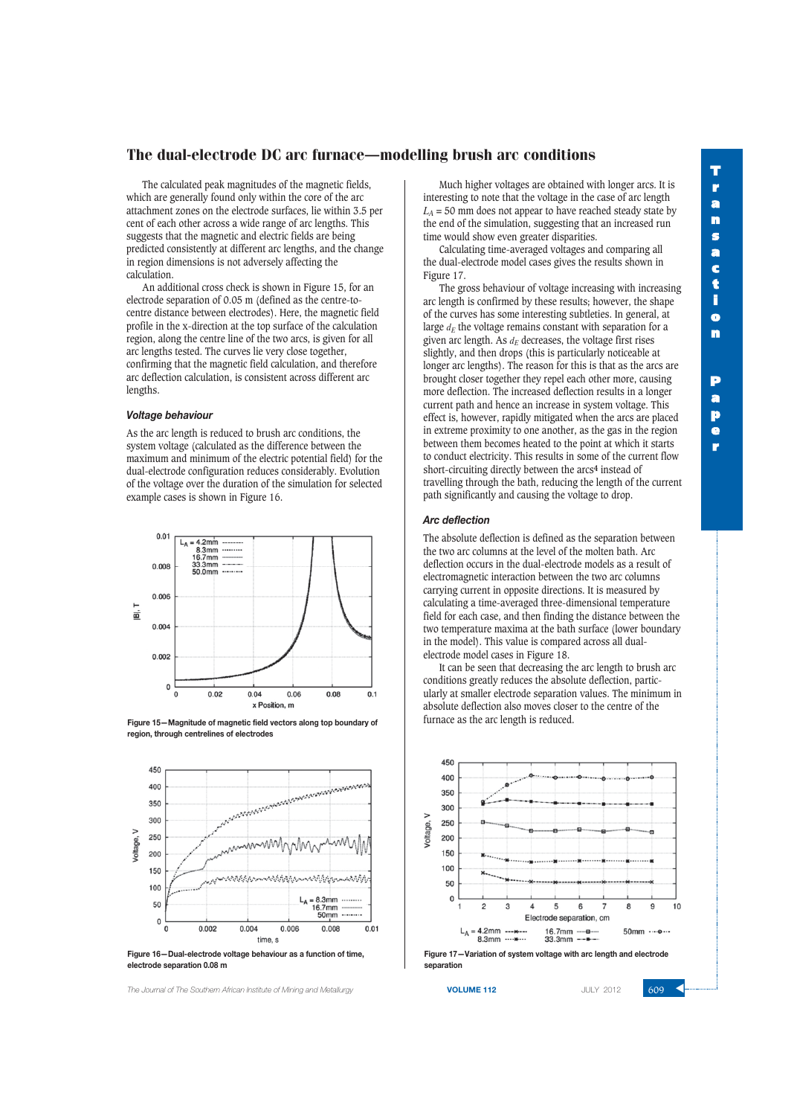# **T r a n s a c t i o n P a p e r**

## The dual-electrode DC arc furnace–modelling brush arc conditions

The calculated peak magnitudes of the magnetic fields, which are generally found only within the core of the arc attachment zones on the electrode surfaces, lie within 3.5 per cent of each other across a wide range of arc lengths. This suggests that the magnetic and electric fields are being predicted consistently at different arc lengths, and the change in region dimensions is not adversely affecting the calculation.

An additional cross check is shown in Figure 15, for an electrode separation of 0.05 m (defined as the centre-tocentre distance between electrodes). Here, the magnetic field profile in the x-direction at the top surface of the calculation region, along the centre line of the two arcs, is given for all arc lengths tested. The curves lie very close together, confirming that the magnetic field calculation, and therefore arc deflection calculation, is consistent across different arc lengths.

### *Voltage behaviour*

As the arc length is reduced to brush arc conditions, the system voltage (calculated as the difference between the maximum and minimum of the electric potential field) for the dual-electrode configuration reduces considerably. Evolution of the voltage over the duration of the simulation for selected example cases is shown in Figure 16.



**Figure 15—Magnitude of magnetic field vectors along top boundary of region, through centrelines of electrodes**



**Figure 16—Dual-electrode voltage behaviour as a function of time, electrode separation 0.08 m**

**The Journal of The Southern African Institute of Mining and Metallurgy <b>VOLUME 112 VOLUME 112** JULY 2012 **609** 

Much higher voltages are obtained with longer arcs. It is interesting to note that the voltage in the case of arc length  $L_A$  = 50 mm does not appear to have reached steady state by the end of the simulation, suggesting that an increased run time would show even greater disparities.

Calculating time-averaged voltages and comparing all the dual-electrode model cases gives the results shown in Figure 17.

The gross behaviour of voltage increasing with increasing arc length is confirmed by these results; however, the shape of the curves has some interesting subtleties. In general, at large  $d_E$  the voltage remains constant with separation for a given arc length. As  $d_E$  decreases, the voltage first rises slightly, and then drops (this is particularly noticeable at longer arc lengths). The reason for this is that as the arcs are brought closer together they repel each other more, causing more deflection. The increased deflection results in a longer current path and hence an increase in system voltage. This effect is, however, rapidly mitigated when the arcs are placed in extreme proximity to one another, as the gas in the region between them becomes heated to the point at which it starts to conduct electricity. This results in some of the current flow short-circuiting directly between the arcs**4** instead of travelling through the bath, reducing the length of the current path significantly and causing the voltage to drop.

#### *Arc deflection*

The absolute deflection is defined as the separation between the two arc columns at the level of the molten bath. Arc deflection occurs in the dual-electrode models as a result of electromagnetic interaction between the two arc columns carrying current in opposite directions. It is measured by calculating a time-averaged three-dimensional temperature field for each case, and then finding the distance between the two temperature maxima at the bath surface (lower boundary in the model). This value is compared across all dualelectrode model cases in Figure 18.

It can be seen that decreasing the arc length to brush arc conditions greatly reduces the absolute deflection, particularly at smaller electrode separation values. The minimum in absolute deflection also moves closer to the centre of the furnace as the arc length is reduced.



**separation**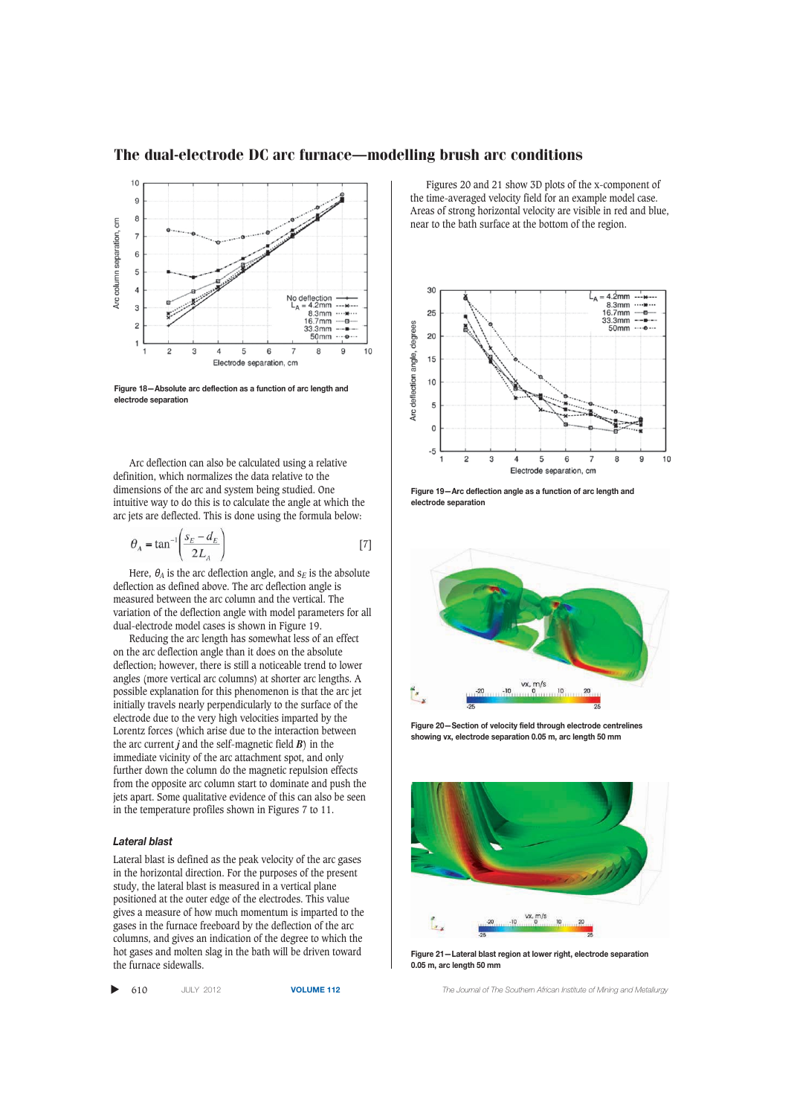

**Figure 18—Absolute arc deflection as a function of arc length and electrode separation**

Arc deflection can also be calculated using a relative definition, which normalizes the data relative to the dimensions of the arc and system being studied. One intuitive way to do this is to calculate the angle at which the arc jets are deflected. This is done using the formula below:

$$
\theta_A = \tan^{-1} \left( \frac{s_E - d_E}{2L_A} \right) \tag{7}
$$

Here,  $\theta_A$  is the arc deflection angle, and  $s_F$  is the absolute deflection as defined above. The arc deflection angle is measured between the arc column and the vertical. The variation of the deflection angle with model parameters for all dual-electrode model cases is shown in Figure 19.

Reducing the arc length has somewhat less of an effect on the arc deflection angle than it does on the absolute deflection; however, there is still a noticeable trend to lower angles (more vertical arc columns) at shorter arc lengths. A possible explanation for this phenomenon is that the arc jet initially travels nearly perpendicularly to the surface of the electrode due to the very high velocities imparted by the Lorentz forces (which arise due to the interaction between the arc current *j* and the self-magnetic field *B*) in the immediate vicinity of the arc attachment spot, and only further down the column do the magnetic repulsion effects from the opposite arc column start to dominate and push the jets apart. Some qualitative evidence of this can also be seen in the temperature profiles shown in Figures 7 to 11.

### *Lateral blast*

Lateral blast is defined as the peak velocity of the arc gases in the horizontal direction. For the purposes of the present study, the lateral blast is measured in a vertical plane positioned at the outer edge of the electrodes. This value gives a measure of how much momentum is imparted to the gases in the furnace freeboard by the deflection of the arc columns, and gives an indication of the degree to which the hot gases and molten slag in the bath will be driven toward the furnace sidewalls.

▲

Figures 20 and 21 show 3D plots of the x-component of the time-averaged velocity field for an example model case. Areas of strong horizontal velocity are visible in red and blue, near to the bath surface at the bottom of the region.



**Figure 19—Arc deflection angle as a function of arc length and electrode separation**



**Figure 20—Section of velocity field through electrode centrelines showing vx, electrode separation 0.05 m, arc length 50 mm**



**Figure 21—Lateral blast region at lower right, electrode separation 0.05 m, arc length 50 mm**

610 JULY 2012 **VOLUME 112** *The Journal of The Southern African Institute of Mining and Metallurgy*